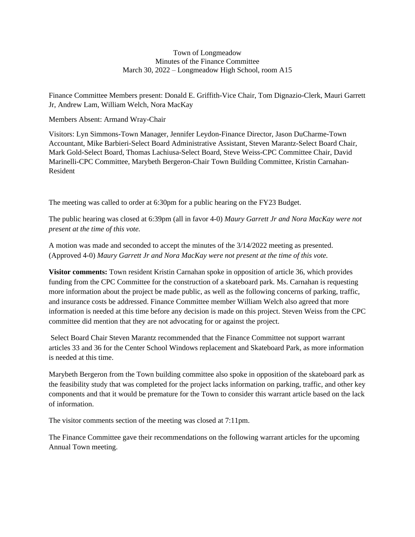#### Town of Longmeadow Minutes of the Finance Committee March 30, 2022 – Longmeadow High School, room A15

Finance Committee Members present: Donald E. Griffith-Vice Chair, Tom Dignazio-Clerk, Mauri Garrett Jr, Andrew Lam, William Welch, Nora MacKay

Members Absent: Armand Wray-Chair

Visitors: Lyn Simmons-Town Manager, Jennifer Leydon-Finance Director, Jason DuCharme-Town Accountant, Mike Barbieri-Select Board Administrative Assistant, Steven Marantz-Select Board Chair, Mark Gold-Select Board, Thomas Lachiusa-Select Board, Steve Weiss-CPC Committee Chair, David Marinelli-CPC Committee, Marybeth Bergeron-Chair Town Building Committee, Kristin Carnahan-Resident

The meeting was called to order at 6:30pm for a public hearing on the FY23 Budget.

The public hearing was closed at 6:39pm (all in favor 4-0) *Maury Garrett Jr and Nora MacKay were not present at the time of this vote.*

A motion was made and seconded to accept the minutes of the 3/14/2022 meeting as presented. (Approved 4-0) *Maury Garrett Jr and Nora MacKay were not present at the time of this vote.*

**Visitor comments:** Town resident Kristin Carnahan spoke in opposition of article 36, which provides funding from the CPC Committee for the construction of a skateboard park. Ms. Carnahan is requesting more information about the project be made public, as well as the following concerns of parking, traffic, and insurance costs be addressed. Finance Committee member William Welch also agreed that more information is needed at this time before any decision is made on this project. Steven Weiss from the CPC committee did mention that they are not advocating for or against the project.

Select Board Chair Steven Marantz recommended that the Finance Committee not support warrant articles 33 and 36 for the Center School Windows replacement and Skateboard Park, as more information is needed at this time.

Marybeth Bergeron from the Town building committee also spoke in opposition of the skateboard park as the feasibility study that was completed for the project lacks information on parking, traffic, and other key components and that it would be premature for the Town to consider this warrant article based on the lack of information.

The visitor comments section of the meeting was closed at 7:11pm.

The Finance Committee gave their recommendations on the following warrant articles for the upcoming Annual Town meeting.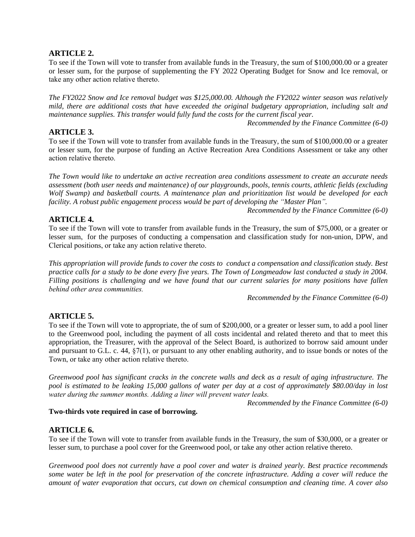# **ARTICLE 2.**

To see if the Town will vote to transfer from available funds in the Treasury, the sum of \$100,000.00 or a greater or lesser sum, for the purpose of supplementing the FY 2022 Operating Budget for Snow and Ice removal, or take any other action relative thereto.

*The FY2022 Snow and Ice removal budget was \$125,000.00. Although the FY2022 winter season was relatively mild, there are additional costs that have exceeded the original budgetary appropriation, including salt and maintenance supplies. This transfer would fully fund the costs for the current fiscal year.*

*Recommended by the Finance Committee (6-0)*

# **ARTICLE 3.**

To see if the Town will vote to transfer from available funds in the Treasury, the sum of \$100,000.00 or a greater or lesser sum, for the purpose of funding an Active Recreation Area Conditions Assessment or take any other action relative thereto.

The Town would like to undertake an active recreation area conditions assessment to create an accurate needs *assessment (both user needs and maintenance) of our playgrounds, pools, tennis courts, athletic fields (excluding Wolf Swamp) and basketball courts. A maintenance plan and prioritization list would be developed for each facility. A robust public engagement process would be part of developing the "Master Plan".*

*Recommended by the Finance Committee (6-0)*

# **ARTICLE 4.**

To see if the Town will vote to transfer from available funds in the Treasury, the sum of \$75,000, or a greater or lesser sum, for the purposes of conducting a compensation and classification study for non-union, DPW, and Clerical positions, or take any action relative thereto.

This appropriation will provide funds to cover the costs to conduct a compensation and classification study. Best practice calls for a study to be done every five years. The Town of Longmeadow last conducted a study in 2004. Filling positions is challenging and we have found that our current salaries for many positions have fallen *behind other area communities.* 

*Recommended by the Finance Committee (6-0)*

# **ARTICLE 5.**

To see if the Town will vote to appropriate, the of sum of \$200,000, or a greater or lesser sum, to add a pool liner to the Greenwood pool, including the payment of all costs incidental and related thereto and that to meet this appropriation, the Treasurer, with the approval of the Select Board, is authorized to borrow said amount under and pursuant to G.L. c. 44, §7(1), or pursuant to any other enabling authority, and to issue bonds or notes of the Town, or take any other action relative thereto.

Greenwood pool has significant cracks in the concrete walls and deck as a result of aging infrastructure. The pool is estimated to be leaking 15,000 gallons of water per day at a cost of approximately \$80.00/day in lost *water during the summer months. Adding a liner will prevent water leaks.* 

*Recommended by the Finance Committee (6-0)*

### **Two-thirds vote required in case of borrowing.**

# **ARTICLE 6.**

To see if the Town will vote to transfer from available funds in the Treasury, the sum of \$30,000, or a greater or lesser sum, to purchase a pool cover for the Greenwood pool, or take any other action relative thereto.

*Greenwood pool does not currently have a pool cover and water is drained yearly. Best practice recommends* some water be left in the pool for preservation of the concrete infrastructure. Adding a cover will reduce the *amount of water evaporation that occurs, cut down on chemical consumption and cleaning time. A cover also*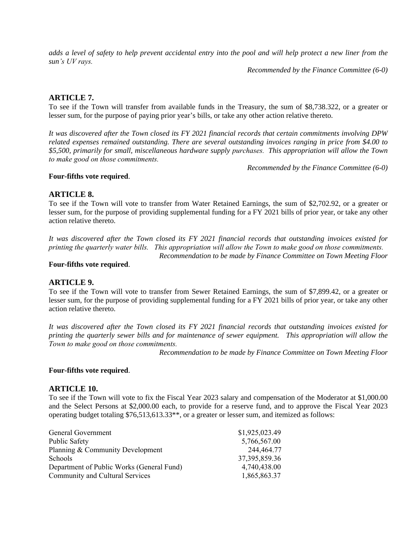adds a level of safety to help prevent accidental entry into the pool and will help protect a new liner from the *sun's UV rays.* 

*Recommended by the Finance Committee (6-0)*

## **ARTICLE 7.**

To see if the Town will transfer from available funds in the Treasury, the sum of \$8,738.322, or a greater or lesser sum, for the purpose of paying prior year's bills, or take any other action relative thereto.

It was discovered after the Town closed its FY 2021 financial records that certain commitments involving DPW *related expenses remained outstanding. There are several outstanding invoices ranging in price from \$4.00 to \$5,500, primarily for small, miscellaneous hardware supply purchases. This appropriation will allow the Town to make good on those commitments.* 

*Recommended by the Finance Committee (6-0)*

### **Four-fifths vote required**.

## **ARTICLE 8.**

To see if the Town will vote to transfer from Water Retained Earnings, the sum of \$2,702.92, or a greater or lesser sum, for the purpose of providing supplemental funding for a FY 2021 bills of prior year, or take any other action relative thereto.

It was discovered after the Town closed its FY 2021 financial records that outstanding invoices existed for *printing the quarterly water bills. This appropriation will allow the Town to make good on those commitments.* 

*Recommendation to be made by Finance Committee on Town Meeting Floor*

#### **Four-fifths vote required**.

### **ARTICLE 9.**

To see if the Town will vote to transfer from Sewer Retained Earnings, the sum of \$7,899.42, or a greater or lesser sum, for the purpose of providing supplemental funding for a FY 2021 bills of prior year, or take any other action relative thereto.

It was discovered after the Town closed its FY 2021 financial records that outstanding invoices existed for *printing the quarterly sewer bills and for maintenance of sewer equipment. This appropriation will allow the Town to make good on those commitments.* 

*Recommendation to be made by Finance Committee on Town Meeting Floor*

#### **Four-fifths vote required**.

#### **ARTICLE 10.**

To see if the Town will vote to fix the Fiscal Year 2023 salary and compensation of the Moderator at \$1,000.00 and the Select Persons at \$2,000.00 each, to provide for a reserve fund, and to approve the Fiscal Year 2023 operating budget totaling \$76,513,613.33\*\*, or a greater or lesser sum, and itemized as follows:

| General Government                        | \$1,925,023.49   |
|-------------------------------------------|------------------|
| <b>Public Safety</b>                      | 5,766,567.00     |
| Planning & Community Development          | 244,464.77       |
| Schools                                   | 37, 395, 859. 36 |
| Department of Public Works (General Fund) | 4,740,438.00     |
| Community and Cultural Services           | 1,865,863.37     |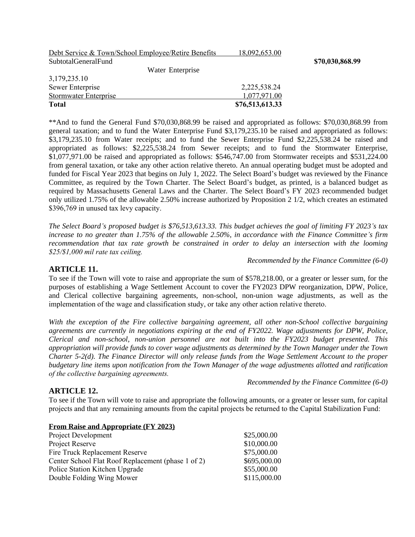| Debt Service & Town/School Employee/Retire Benefits | 18,092,653.00   |
|-----------------------------------------------------|-----------------|
| SubtotalGeneralFund                                 |                 |
| Water Enterprise                                    |                 |
| 3,179,235.10                                        |                 |
| Sewer Enterprise                                    | 2,225,538.24    |
| <b>Stormwater Enterprise</b>                        | 1,077,971.00    |
| <b>Total</b>                                        | \$76,513,613.33 |

\*\*And to fund the General Fund \$70,030,868.99 be raised and appropriated as follows: \$70,030,868.99 from general taxation; and to fund the Water Enterprise Fund \$3,179,235.10 be raised and appropriated as follows: \$3,179,235.10 from Water receipts; and to fund the Sewer Enterprise Fund \$2,225,538.24 be raised and appropriated as follows: \$2,225,538.24 from Sewer receipts; and to fund the Stormwater Enterprise, \$1,077,971.00 be raised and appropriated as follows: \$546,747.00 from Stormwater receipts and \$531,224.00 from general taxation, or take any other action relative thereto. An annual operating budget must be adopted and funded for Fiscal Year 2023 that begins on July 1, 2022. The Select Board's budget was reviewed by the Finance Committee, as required by the Town Charter. The Select Board's budget, as printed, is a balanced budget as required by Massachusetts General Laws and the Charter. The Select Board's FY 2023 recommended budget only utilized 1.75% of the allowable 2.50% increase authorized by Proposition 2 1/2, which creates an estimated \$396,769 in unused tax levy capacity.

The Select Board's proposed budget is \$76,513,613.33. This budget achieves the goal of limiting FY 2023's tax increase to no greater than 1.75% of the allowable 2.50%, in accordance with the Finance Committee's firm *recommendation that tax rate growth be constrained in order to delay an intersection with the looming \$25/\$1,000 mil rate tax ceiling.* 

*Recommended by the Finance Committee (6-0)*

 $$70,030,868.99$ 

### **ARTICLE 11.**

To see if the Town will vote to raise and appropriate the sum of \$578,218.00, or a greater or lesser sum, for the purposes of establishing a Wage Settlement Account to cover the FY2023 DPW reorganization, DPW, Police, and Clerical collective bargaining agreements, non-school, non-union wage adjustments, as well as the implementation of the wage and classification study, or take any other action relative thereto.

*With the exception of the Fire collective bargaining agreement, all other non-School collective bargaining agreements are currently in negotiations expiring at the end of FY2022. Wage adjustments for DPW, Police, Clerical and non-school, non-union personnel are not built into the FY2023 budget presented. This* appropriation will provide funds to cover wage adjustments as determined by the Town Manager under the Town Charter 5-2(d). The Finance Director will only release funds from the Wage Settlement Account to the proper *budgetary line items upon notification from the Town Manager of the wage adjustments allotted and ratification of the collective bargaining agreements.* 

*Recommended by the Finance Committee (6-0)*

### **ARTICLE 12.**

To see if the Town will vote to raise and appropriate the following amounts, or a greater or lesser sum, for capital projects and that any remaining amounts from the capital projects be returned to the Capital Stabilization Fund:

| \$25,000.00  |
|--------------|
| \$10,000.00  |
| \$75,000.00  |
| \$695,000.00 |
| \$55,000.00  |
| \$115,000.00 |
|              |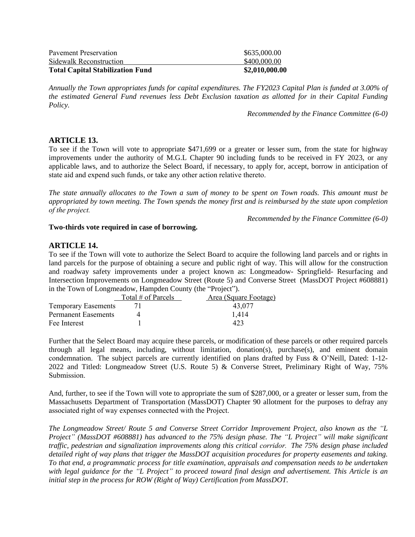| \$2,010,000.00 |
|----------------|
| \$400,000.00   |
| \$635,000.00   |
|                |

Annually the Town appropriates funds for capital expenditures. The FY2023 Capital Plan is funded at 3.00% of *the estimated General Fund revenues less Debt Exclusion taxation as allotted for in their Capital Funding Policy.*

*Recommended by the Finance Committee (6-0)*

## **ARTICLE 13.**

To see if the Town will vote to appropriate \$471,699 or a greater or lesser sum, from the state for highway improvements under the authority of M.G.L Chapter 90 including funds to be received in FY 2023, or any applicable laws, and to authorize the Select Board, if necessary, to apply for, accept, borrow in anticipation of state aid and expend such funds, or take any other action relative thereto.

The state annually allocates to the Town a sum of money to be spent on Town roads. This amount must be appropriated by town meeting. The Town spends the money first and is reimbursed by the state upon completion *of the project.* 

*Recommended by the Finance Committee (6-0)*

#### **Two-thirds vote required in case of borrowing.**

## **ARTICLE 14.**

To see if the Town will vote to authorize the Select Board to acquire the following land parcels and or rights in land parcels for the purpose of obtaining a secure and public right of way. This will allow for the construction and roadway safety improvements under a project known as: Longmeadow- Springfield- Resurfacing and Intersection Improvements on Longmeadow Street (Route 5) and Converse Street (MassDOT Project #608881) in the Town of Longmeadow, Hampden County (the "Project").

|                            | Total # of Parcels | Area (Square Footage) |
|----------------------------|--------------------|-----------------------|
| <b>Temporary Easements</b> |                    | 43.077                |
| <b>Permanent Easements</b> |                    | 1.414                 |
| Fee Interest               |                    |                       |

Further that the Select Board may acquire these parcels, or modification of these parcels or other required parcels through all legal means, including, without limitation, donation(s), purchase(s), and eminent domain condemnation. The subject parcels are currently identified on plans drafted by Fuss & O'Neill, Dated: 1-12- 2022 and Titled: Longmeadow Street (U.S. Route 5) & Converse Street, Preliminary Right of Way, 75% Submission.

And, further, to see if the Town will vote to appropriate the sum of \$287,000, or a greater or lesser sum, from the Massachusetts Department of Transportation (MassDOT) Chapter 90 allotment for the purposes to defray any associated right of way expenses connected with the Project.

*The Longmeadow Street/ Route 5 and Converse Street Corridor Improvement Project, also known as the "L* Project" (MassDOT #608881) has advanced to the 75% design phase. The "L Project" will make significant *traffic, pedestrian and signalization improvements along this critical corridor. The 75% design phase included detailed right of way plans that trigger the MassDOT acquisition procedures for property easements and taking. To that end, a programmatic process for title examination, appraisals and compensation needs to be undertaken* with legal guidance for the "L Project" to proceed toward final design and advertisement. This Article is an *initial step in the process for ROW (Right of Way) Certification from MassDOT.*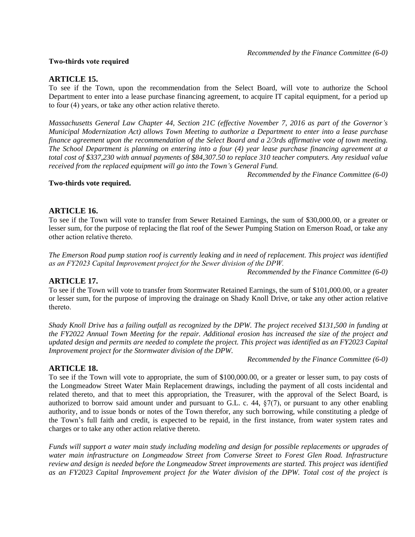#### **Two-thirds vote required**

## **ARTICLE 15.**

To see if the Town, upon the recommendation from the Select Board, will vote to authorize the School Department to enter into a lease purchase financing agreement, to acquire IT capital equipment, for a period up to four (4) years, or take any other action relative thereto.

Massachusetts General Law Chapter 44, Section 21C (effective November 7, 2016 as part of the Governor's *Municipal Modernization Act) allows Town Meeting to authorize a Department to enter into a lease purchase* finance agreement upon the recommendation of the Select Board and a 2/3rds affirmative vote of town meeting. The School Department is planning on entering into a four (4) year lease purchase financing agreement at a total cost of \$337,230 with annual payments of \$84,307.50 to replace 310 teacher computers. Any residual value *received from the replaced equipment will go into the Town's General Fund.*

*Recommended by the Finance Committee (6-0)*

#### **Two-thirds vote required.**

### **ARTICLE 16.**

To see if the Town will vote to transfer from Sewer Retained Earnings, the sum of \$30,000.00, or a greater or lesser sum, for the purpose of replacing the flat roof of the Sewer Pumping Station on Emerson Road, or take any other action relative thereto.

The Emerson Road pump station roof is currently leaking and in need of replacement. This project was identified *as an FY2023 Capital Improvement project for the Sewer division of the DPW.* 

*Recommended by the Finance Committee (6-0)*

### **ARTICLE 17.**

To see if the Town will vote to transfer from Stormwater Retained Earnings, the sum of \$101,000.00, or a greater or lesser sum, for the purpose of improving the drainage on Shady Knoll Drive, or take any other action relative thereto.

Shady Knoll Drive has a failing outfall as recognized by the DPW. The project received \$131,500 in funding at the FY2022 Annual Town Meeting for the repair. Additional erosion has increased the size of the project and updated design and permits are needed to complete the project. This project was identified as an FY2023 Capital *Improvement project for the Stormwater division of the DPW.*

*Recommended by the Finance Committee (6-0)*

### **ARTICLE 18.**

To see if the Town will vote to appropriate, the sum of \$100,000.00, or a greater or lesser sum, to pay costs of the Longmeadow Street Water Main Replacement drawings, including the payment of all costs incidental and related thereto, and that to meet this appropriation, the Treasurer, with the approval of the Select Board, is authorized to borrow said amount under and pursuant to G.L. c. 44, §7(7), or pursuant to any other enabling authority, and to issue bonds or notes of the Town therefor, any such borrowing, while constituting a pledge of the Town's full faith and credit, is expected to be repaid, in the first instance, from water system rates and charges or to take any other action relative thereto.

Funds will support a water main study including modeling and design for possible replacements or upgrades of *water main infrastructure on Longmeadow Street from Converse Street to Forest Glen Road. Infrastructure review and design is needed before the Longmeadow Street improvements are started. This project was identified* as an FY2023 Capital Improvement project for the Water division of the DPW. Total cost of the project is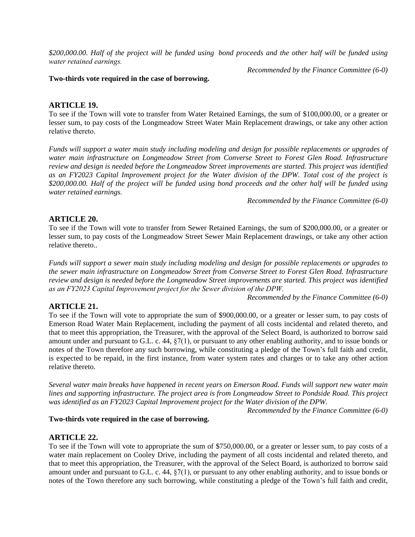\$200,000.00. Half of the project will be funded using bond proceeds and the other half will be funded using *water retained earnings.* 

*Recommended by the Finance Committee (6-0)*

#### **Two-thirds vote required in the case of borrowing.**

### **ARTICLE 19.**

To see if the Town will vote to transfer from Water Retained Earnings, the sum of \$100,000.00, or a greater or lesser sum, to pay costs of the Longmeadow Street Water Main Replacement drawings, or take any other action relative thereto.

Funds will support a water main study including modeling and design for possible replacements or upgrades of *water main infrastructure on Longmeadow Street from Converse Street to Forest Glen Road. Infrastructure review and design is needed before the Longmeadow Street improvements are started. This project was identified* as an FY2023 Capital Improvement project for the Water division of the DPW. Total cost of the project is \$200,000.00. Half of the project will be funded using bond proceeds and the other half will be funded using *water retained earnings.*

*Recommended by the Finance Committee (6-0)*

## **ARTICLE 20.**

To see if the Town will vote to transfer from Sewer Retained Earnings, the sum of \$200,000.00, or a greater or lesser sum, to pay costs of the Longmeadow Street Sewer Main Replacement drawings, or take any other action relative thereto..

Funds will support a sewer main study including modeling and design for possible replacements or upgrades to *the sewer main infrastructure on Longmeadow Street from Converse Street to Forest Glen Road. Infrastructure review and design is needed before the Longmeadow Street improvements are started. This project was identified as an FY2023 Capital Improvement project for the Sewer division of the DPW.* 

*Recommended by the Finance Committee (6-0)*

# **ARTICLE 21.**

To see if the Town will vote to appropriate the sum of \$900,000.00, or a greater or lesser sum, to pay costs of Emerson Road Water Main Replacement, including the payment of all costs incidental and related thereto, and that to meet this appropriation, the Treasurer, with the approval of the Select Board, is authorized to borrow said amount under and pursuant to G.L. c. 44, §7(1), or pursuant to any other enabling authority, and to issue bonds or notes of the Town therefore any such borrowing, while constituting a pledge of the Town's full faith and credit, is expected to be repaid, in the first instance, from water system rates and charges or to take any other action relative thereto.

Several water main breaks have happened in recent years on Emerson Road. Funds will support new water main *lines and supporting infrastructure. The project area is from Longmeadow Street to Pondside Road. This project was identified as an FY2023 Capital Improvement project for the Water division of the DPW.*

*Recommended by the Finance Committee (6-0)*

#### **Two-thirds vote required in the case of borrowing.**

### **ARTICLE 22.**

To see if the Town will vote to appropriate the sum of \$750,000.00, or a greater or lesser sum, to pay costs of a water main replacement on Cooley Drive, including the payment of all costs incidental and related thereto, and that to meet this appropriation, the Treasurer, with the approval of the Select Board, is authorized to borrow said amount under and pursuant to G.L. c. 44, §7(1), or pursuant to any other enabling authority, and to issue bonds or notes of the Town therefore any such borrowing, while constituting a pledge of the Town's full faith and credit,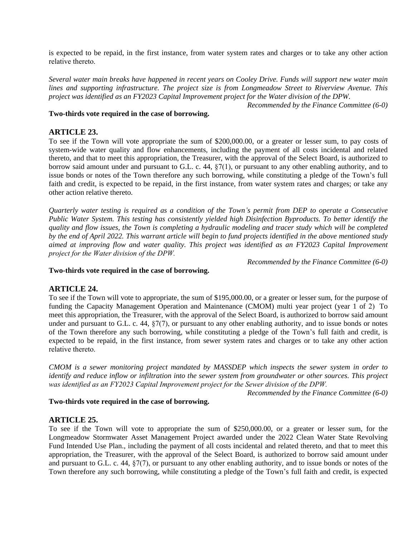is expected to be repaid, in the first instance, from water system rates and charges or to take any other action relative thereto.

Several water main breaks have happened in recent years on Cooley Drive. Funds will support new water main *lines and supporting infrastructure. The project size is from Longmeadow Street to Riverview Avenue. This project was identified as an FY2023 Capital Improvement project for the Water division of the DPW.*

*Recommended by the Finance Committee (6-0)*

#### **Two-thirds vote required in the case of borrowing.**

## **ARTICLE 23.**

To see if the Town will vote appropriate the sum of \$200,000.00, or a greater or lesser sum, to pay costs of system-wide water quality and flow enhancements, including the payment of all costs incidental and related thereto, and that to meet this appropriation, the Treasurer, with the approval of the Select Board, is authorized to borrow said amount under and pursuant to G.L. c. 44, §7(1), or pursuant to any other enabling authority, and to issue bonds or notes of the Town therefore any such borrowing, while constituting a pledge of the Town's full faith and credit, is expected to be repaid, in the first instance, from water system rates and charges; or take any other action relative thereto.

Quarterly water testing is required as a condition of the Town's permit from DEP to operate a Consecutive *Public Water System. This testing has consistently yielded high Disinfection Byproducts. To better identify the* quality and flow issues, the Town is completing a hydraulic modeling and tracer study which will be completed by the end of April 2022. This warrant article will begin to fund projects identified in the above mentioned study *aimed at improving flow and water quality. This project was identified as an FY2023 Capital Improvement project for the Water division of the DPW.* 

*Recommended by the Finance Committee (6-0)*

#### **Two-thirds vote required in the case of borrowing.**

### **ARTICLE 24.**

To see if the Town will vote to appropriate, the sum of \$195,000.00, or a greater or lesser sum, for the purpose of funding the Capacity Management Operation and Maintenance (CMOM) multi year project (year 1 of 2) To meet this appropriation, the Treasurer, with the approval of the Select Board, is authorized to borrow said amount under and pursuant to G.L. c. 44,  $\S7(7)$ , or pursuant to any other enabling authority, and to issue bonds or notes of the Town therefore any such borrowing, while constituting a pledge of the Town's full faith and credit, is expected to be repaid, in the first instance, from sewer system rates and charges or to take any other action relative thereto.

*CMOM is a sewer monitoring project mandated by MASSDEP which inspects the sewer system in order to* identify and reduce inflow or infiltration into the sewer system from groundwater or other sources. This project *was identified as an FY2023 Capital Improvement project for the Sewer division of the DPW.* 

*Recommended by the Finance Committee (6-0)*

### **Two-thirds vote required in the case of borrowing.**

# **ARTICLE 25.**

To see if the Town will vote to appropriate the sum of \$250,000.00, or a greater or lesser sum, for the Longmeadow Stormwater Asset Management Project awarded under the 2022 Clean Water State Revolving Fund Intended Use Plan., including the payment of all costs incidental and related thereto, and that to meet this appropriation, the Treasurer, with the approval of the Select Board, is authorized to borrow said amount under and pursuant to G.L. c. 44, §7(7), or pursuant to any other enabling authority, and to issue bonds or notes of the Town therefore any such borrowing, while constituting a pledge of the Town's full faith and credit, is expected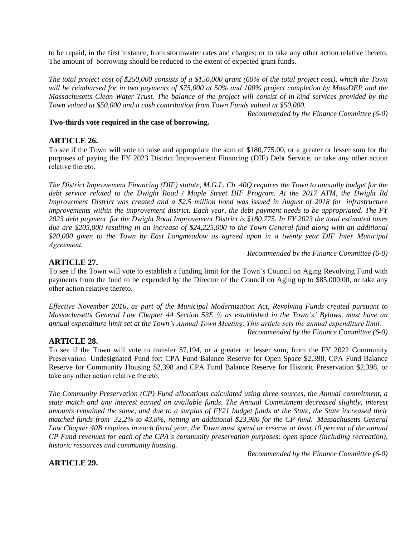to be repaid, in the first instance, from stormwater rates and charges; or to take any other action relative thereto. The amount of borrowing should be reduced to the extent of expected grant funds.

The total project cost of \$250,000 consists of a \$150,000 grant  $(60\%$  of the total project cost), which the Town will be reimbursed for in two payments of \$75,000 at 50% and 100% project completion by MassDEP and the Massachusetts Clean Water Trust. The balance of the project will consist of in-kind services provided by the *Town valued at \$50,000 and a cash contribution from Town Funds valued at \$50,000.*

*Recommended by the Finance Committee (6-0)*

### **Two-thirds vote required in the case of borrowing.**

## **ARTICLE 26.**

To see if the Town will vote to raise and appropriate the sum of \$180,775.00, or a greater or lesser sum for the purposes of paying the FY 2023 District Improvement Financing (DIF) Debt Service, or take any other action relative thereto.

The District Improvement Financing (DIF) statute, M.G.L. Ch. 40Q requires the Town to annually budget for the debt service related to the Dwight Road / Maple Street DIF Program. At the 2017 ATM, the Dwight Rd *Improvement District was created and a \$2.5 million bond was issued in August of 2018 for infrastructure improvements within the improvement district. Each year, the debt payment needs to be appropriated. The FY* 2023 debt payment for the Dwight Road Improvement District is \$180,775. In FY 2023 the total estimated taxes due are \$205,000 resulting in an increase of \$24,225,000 to the Town General fund along with an additional *\$20,000 given to the Town by East Longmeadow as agreed upon in a twenty year DIF Inter Municipal Agreement.* 

*Recommended by the Finance Committee (6-0)*

## **ARTICLE 27.**

To see if the Town will vote to establish a funding limit for the Town's Council on Aging Revolving Fund with payments from the fund to be expended by the Director of the Council on Aging up to \$85,000.00, or take any other action relative thereto.

*Effective November 2016, as part of the Municipal Modernization Act, Revolving Funds created pursuant to* Massachusetts General Law Chapter 44 Section 53E  $\frac{1}{2}$  as established in the Town's' Bylaws, must have an *annual expenditure limit set at the Town's Annual Town Meeting. This article sets the annual expenditure limit. Recommended by the Finance Committee (6-0)*

### **ARTICLE 28.**

To see if the Town will vote to transfer \$7,194, or a greater or lesser sum, from the FY 2022 Community Preservation Undesignated Fund for: CPA Fund Balance Reserve for Open Space \$2,398, CPA Fund Balance Reserve for Community Housing \$2,398 and CPA Fund Balance Reserve for Historic Preservation \$2,398, or take any other action relative thereto.

*The Community Preservation (CP) Fund allocations calculated using three sources, the Annual commitment, a state match and any interest earned on available funds. The Annual Commitment decreased slightly, interest* amounts remained the same, and due to a surplus of FY21 budget funds at the State, the State increased their *matched funds from 32.2% to 43.8%, netting an additional \$23,980 for the CP fund. Massachusetts General* Law Chapter 40B requires in each fiscal year, the Town must spend or reserve at least 10 percent of the annual CP Fund revenues for each of the CPA's community preservation purposes: open space (including recreation), *historic resources and community housing.*

*Recommended by the Finance Committee (6-0)*

# **ARTICLE 29.**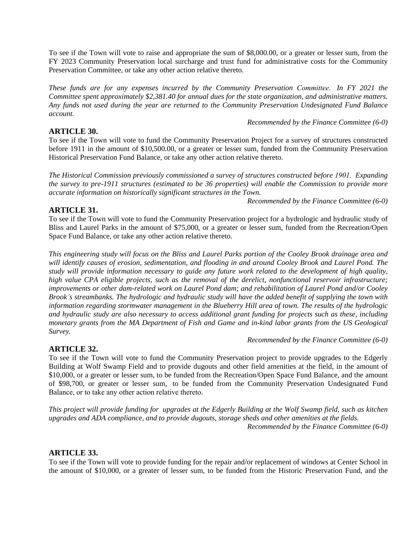To see if the Town will vote to raise and appropriate the sum of \$8,000.00, or a greater or lesser sum, from the FY 2023 Community Preservation local surcharge and trust fund for administrative costs for the Community Preservation Committee, or take any other action relative thereto.

*These funds are for any expenses incurred by the Community Preservation Committee. In FY 2021 the Committee spent approximately \$2,381.40 for annual dues for the state organization, and administrative matters. Any funds not used during the year are returned to the Community Preservation Undesignated Fund Balance account.*

#### *Recommended by the Finance Committee (6-0)*

# **ARTICLE 30.**

To see if the Town will vote to fund the Community Preservation Project for a survey of structures constructed before 1911 in the amount of \$10,500.00, or a greater or lesser sum, funded from the Community Preservation Historical Preservation Fund Balance, or take any other action relative thereto.

*The Historical Commission previously commissioned a survey of structures constructed before 1901. Expanding* the survey to pre-1911 structures (estimated to be 36 properties) will enable the Commission to provide more *accurate information on historically significant structures in the Town.*

*Recommended by the Finance Committee (6-0)*

# **ARTICLE 31.**

To see if the Town will vote to fund the Community Preservation project for a hydrologic and hydraulic study of Bliss and Laurel Parks in the amount of \$75,000, or a greater or lesser sum, funded from the Recreation/Open Space Fund Balance, or take any other action relative thereto.

This engineering study will focus on the Bliss and Laurel Parks portion of the Cooley Brook drainage area and will identify causes of erosion, sedimentation, and flooding in and around Cooley Brook and Laurel Pond. The study will provide information necessary to guide any future work related to the development of high quality, *high value CPA eligible projects, such as the removal of the derelict, nonfunctional reservoir infrastructure; improvements or other dam-related work on Laurel Pond dam; and rehabilitation of Laurel Pond and/or Cooley* Brook's streambanks. The hydrologic and hydraulic study will have the added benefit of supplying the town with *information regarding stormwater management in the Blueberry Hill area of town. The results of the hydrologic* and hydraulic study are also necessary to access additional grant funding for projects such as these, including monetary grants from the MA Department of Fish and Game and in-kind labor grants from the US Geological *Survey.*

*Recommended by the Finance Committee (6-0)*

# **ARTICLE 32.**

To see if the Town will vote to fund the Community Preservation project to provide upgrades to the Edgerly Building at Wolf Swamp Field and to provide dugouts and other field amenities at the field, in the amount of \$10,000, or a greater or lesser sum, to be funded from the Recreation/Open Space Fund Balance, and the amount of \$98,700, or greater or lesser sum, to be funded from the Community Preservation Undesignated Fund Balance, or to take any other action relative thereto.

This project will provide funding for upgrades at the Edgerly Building at the Wolf Swamp field, such as kitchen *upgrades and ADA compliance, and to provide dugouts, storage sheds and other amenities at the fields. Recommended by the Finance Committee (6-0)*

# **ARTICLE 33.**

To see if the Town will vote to provide funding for the repair and/or replacement of windows at Center School in the amount of \$10,000, or a greater of lesser sum, to be funded from the Historic Preservation Fund, and the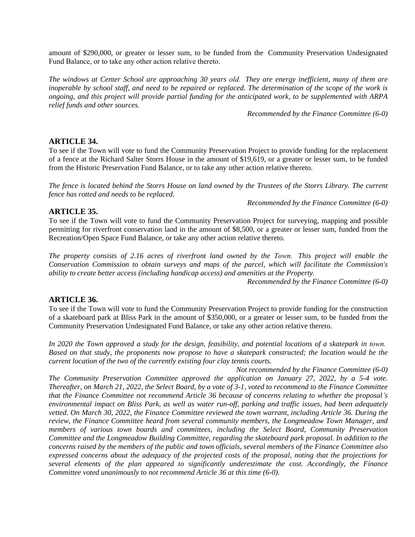amount of \$290,000, or greater or lesser sum, to be funded from the Community Preservation Undesignated Fund Balance, or to take any other action relative thereto.

The windows at Center School are approaching 30 years old. They are energy inefficient, many of them are inoperable by school staff, and need to be repaired or replaced. The determination of the scope of the work is ongoing, and this project will provide partial funding for the anticipated work, to be supplemented with ARPA *relief funds and other sources.*

*Recommended by the Finance Committee (6-0)*

## **ARTICLE 34.**

To see if the Town will vote to fund the Community Preservation Project to provide funding for the replacement of a fence at the Richard Salter Storrs House in the amount of \$19,619, or a greater or lesser sum, to be funded from the Historic Preservation Fund Balance, or to take any other action relative thereto.

The fence is located behind the Storrs House on land owned by the Trustees of the Storrs Library. The current *fence has rotted and needs to be replaced.*

*Recommended by the Finance Committee (6-0)*

## **ARTICLE 35.**

To see if the Town will vote to fund the Community Preservation Project for surveying, mapping and possible permitting for riverfront conservation land in the amount of \$8,500, or a greater or lesser sum, funded from the Recreation/Open Space Fund Balance, or take any other action relative thereto.

The property consists of 2.16 acres of riverfront land owned by the Town. This project will enable the *Conservation Commission to obtain surveys and maps of the parcel, which will facilitate the Commission's ability to create better access (including handicap access) and amenities at the Property.*

*Recommended by the Finance Committee (6-0)*

### **ARTICLE 36.**

To see if the Town will vote to fund the Community Preservation Project to provide funding for the construction of a skateboard park at Bliss Park in the amount of \$350,000, or a greater or lesser sum, to be funded from the Community Preservation Undesignated Fund Balance, or take any other action relative thereto.

In 2020 the Town approved a study for the design, feasibility, and potential locations of a skatepark in town. Based on that study, the proponents now propose to have a skatepark constructed; the location would be the *current location of the two of the currently existing four clay tennis courts.*

*Not recommended by the Finance Committee (6-0) The Community Preservation Committee approved the application on January 27, 2022, by a 5-4 vote.* Thereafter, on March 21, 2022, the Select Board, by a vote of 3-1, voted to recommend to the Finance Committee that the Finance Committee not recommend Article 36 because of concerns relating to whether the proposal's environmental impact on Bliss Park, as well as water run-off, parking and traffic issues, had been adequately vetted. On March 30, 2022, the Finance Committee reviewed the town warrant, including Article 36. During the *review, the Finance Committee heard from several community members, the Longmeadow Town Manager, and members of various town boards and committees, including the Select Board, Community Preservation Committee and the Longmeadow Building Committee, regarding the skateboard park proposal. In addition to the* concerns raised by the members of the public and town officials, several members of the Finance Committee also expressed concerns about the adequacy of the projected costs of the proposal, noting that the projections for *several elements of the plan appeared to significantly underestimate the cost. Accordingly, the Finance Committee voted unanimously to not recommend Article 36 at this time (6-0).*